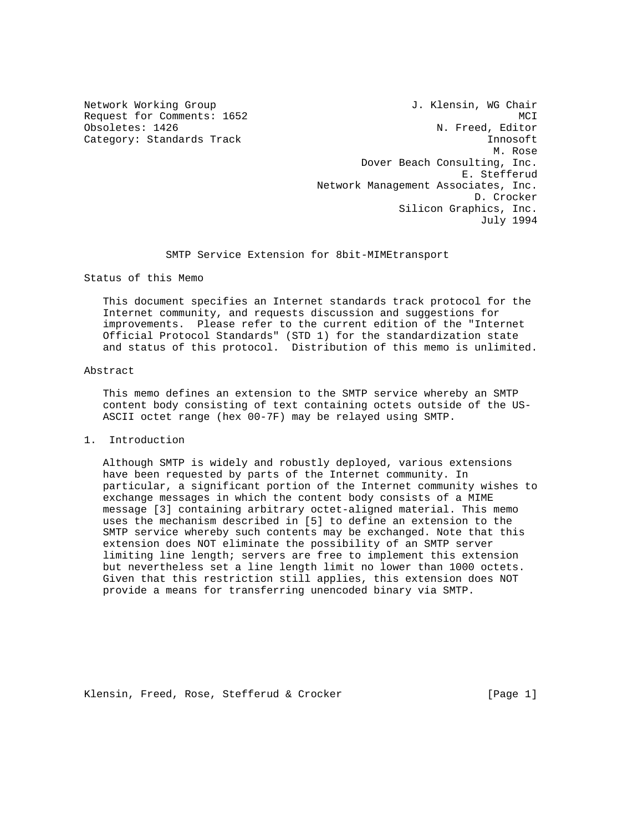Network Working Group 30 and 1. Klensin, WG Chair Request for Comments: 1652<br>
Obsoletes: 1426 MCI Mobsoletes: 1426 N. Freed, Editor Category: Standards Track Innosoft Innosoft M. Rose Dover Beach Consulting, Inc. E. Stefferud Network Management Associates, Inc. D. Crocker Silicon Graphics, Inc. July 1994

## SMTP Service Extension for 8bit-MIMEtransport

Status of this Memo

 This document specifies an Internet standards track protocol for the Internet community, and requests discussion and suggestions for improvements. Please refer to the current edition of the "Internet Official Protocol Standards" (STD 1) for the standardization state and status of this protocol. Distribution of this memo is unlimited.

## Abstract

 This memo defines an extension to the SMTP service whereby an SMTP content body consisting of text containing octets outside of the US- ASCII octet range (hex 00-7F) may be relayed using SMTP.

1. Introduction

 Although SMTP is widely and robustly deployed, various extensions have been requested by parts of the Internet community. In particular, a significant portion of the Internet community wishes to exchange messages in which the content body consists of a MIME message [3] containing arbitrary octet-aligned material. This memo uses the mechanism described in [5] to define an extension to the SMTP service whereby such contents may be exchanged. Note that this extension does NOT eliminate the possibility of an SMTP server limiting line length; servers are free to implement this extension but nevertheless set a line length limit no lower than 1000 octets. Given that this restriction still applies, this extension does NOT provide a means for transferring unencoded binary via SMTP.

Klensin, Freed, Rose, Stefferud & Crocker [Page 1]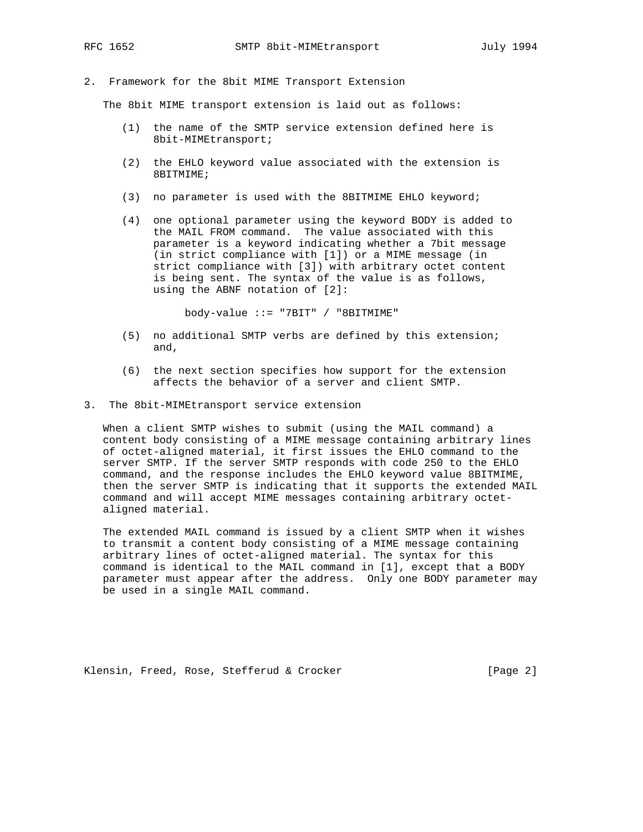2. Framework for the 8bit MIME Transport Extension

The 8bit MIME transport extension is laid out as follows:

- (1) the name of the SMTP service extension defined here is 8bit-MIMEtransport;
- (2) the EHLO keyword value associated with the extension is 8BITMIME;
- (3) no parameter is used with the 8BITMIME EHLO keyword;
- (4) one optional parameter using the keyword BODY is added to the MAIL FROM command. The value associated with this parameter is a keyword indicating whether a 7bit message (in strict compliance with [1]) or a MIME message (in strict compliance with [3]) with arbitrary octet content is being sent. The syntax of the value is as follows, using the ABNF notation of [2]:

body-value ::= "7BIT" / "8BITMIME"

- (5) no additional SMTP verbs are defined by this extension; and,
- (6) the next section specifies how support for the extension affects the behavior of a server and client SMTP.
- 3. The 8bit-MIMEtransport service extension

 When a client SMTP wishes to submit (using the MAIL command) a content body consisting of a MIME message containing arbitrary lines of octet-aligned material, it first issues the EHLO command to the server SMTP. If the server SMTP responds with code 250 to the EHLO command, and the response includes the EHLO keyword value 8BITMIME, then the server SMTP is indicating that it supports the extended MAIL command and will accept MIME messages containing arbitrary octet aligned material.

 The extended MAIL command is issued by a client SMTP when it wishes to transmit a content body consisting of a MIME message containing arbitrary lines of octet-aligned material. The syntax for this command is identical to the MAIL command in [1], except that a BODY parameter must appear after the address. Only one BODY parameter may be used in a single MAIL command.

Klensin, Freed, Rose, Stefferud & Crocker [Page 2]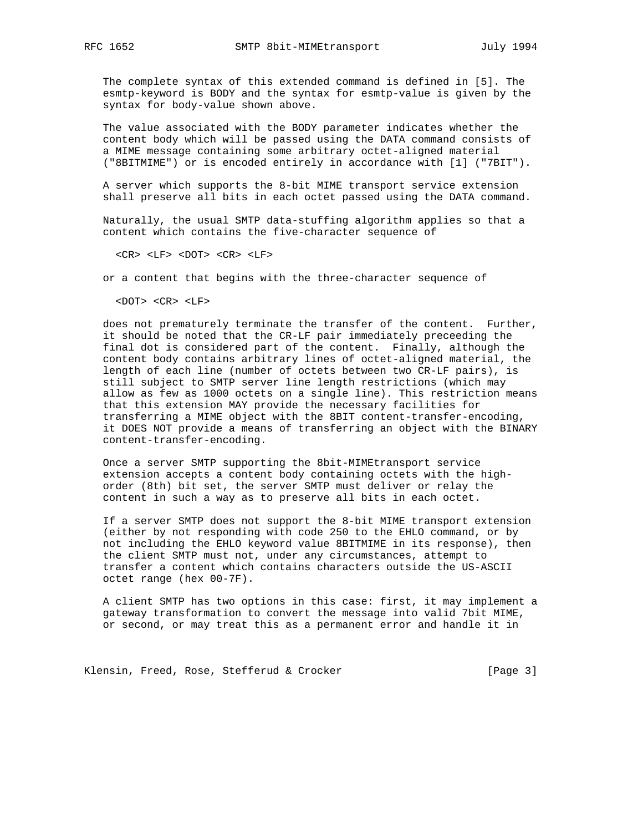The complete syntax of this extended command is defined in [5]. The esmtp-keyword is BODY and the syntax for esmtp-value is given by the syntax for body-value shown above.

 The value associated with the BODY parameter indicates whether the content body which will be passed using the DATA command consists of a MIME message containing some arbitrary octet-aligned material ("8BITMIME") or is encoded entirely in accordance with [1] ("7BIT").

 A server which supports the 8-bit MIME transport service extension shall preserve all bits in each octet passed using the DATA command.

 Naturally, the usual SMTP data-stuffing algorithm applies so that a content which contains the five-character sequence of

<CR> <LF> <DOT> <CR> <LF>

or a content that begins with the three-character sequence of

<DOT> <CR> <LF>

 does not prematurely terminate the transfer of the content. Further, it should be noted that the CR-LF pair immediately preceeding the final dot is considered part of the content. Finally, although the content body contains arbitrary lines of octet-aligned material, the length of each line (number of octets between two CR-LF pairs), is still subject to SMTP server line length restrictions (which may allow as few as 1000 octets on a single line). This restriction means that this extension MAY provide the necessary facilities for transferring a MIME object with the 8BIT content-transfer-encoding, it DOES NOT provide a means of transferring an object with the BINARY content-transfer-encoding.

 Once a server SMTP supporting the 8bit-MIMEtransport service extension accepts a content body containing octets with the high order (8th) bit set, the server SMTP must deliver or relay the content in such a way as to preserve all bits in each octet.

 If a server SMTP does not support the 8-bit MIME transport extension (either by not responding with code 250 to the EHLO command, or by not including the EHLO keyword value 8BITMIME in its response), then the client SMTP must not, under any circumstances, attempt to transfer a content which contains characters outside the US-ASCII octet range (hex 00-7F).

 A client SMTP has two options in this case: first, it may implement a gateway transformation to convert the message into valid 7bit MIME, or second, or may treat this as a permanent error and handle it in

Klensin, Freed, Rose, Stefferud & Crocker [Page 3]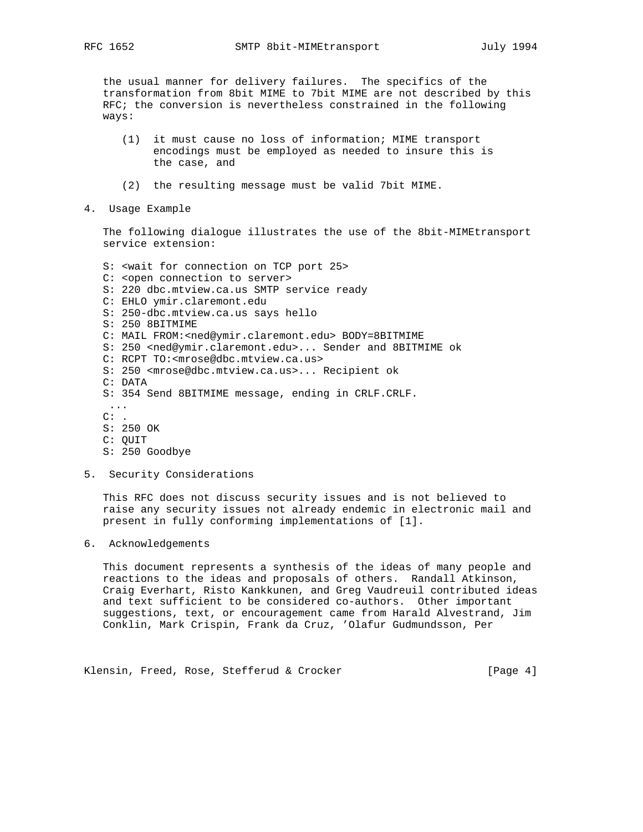the usual manner for delivery failures. The specifics of the transformation from 8bit MIME to 7bit MIME are not described by this RFC; the conversion is nevertheless constrained in the following ways:

- (1) it must cause no loss of information; MIME transport encodings must be employed as needed to insure this is the case, and
- (2) the resulting message must be valid 7bit MIME.
- 4. Usage Example

 The following dialogue illustrates the use of the 8bit-MIMEtransport service extension:

- S: <wait for connection on TCP port 25> C: <open connection to server> S: 220 dbc.mtview.ca.us SMTP service ready C: EHLO ymir.claremont.edu S: 250-dbc.mtview.ca.us says hello S: 250 8BITMIME C: MAIL FROM:<ned@ymir.claremont.edu> BODY=8BITMIME S: 250 <ned@ymir.claremont.edu>... Sender and 8BITMIME ok C: RCPT TO:<mrose@dbc.mtview.ca.us> S: 250 <mrose@dbc.mtview.ca.us>... Recipient ok C: DATA S: 354 Send 8BITMIME message, ending in CRLF.CRLF. ...  $C:$  . S: 250 OK C: QUIT S: 250 Goodbye
- 5. Security Considerations

 This RFC does not discuss security issues and is not believed to raise any security issues not already endemic in electronic mail and present in fully conforming implementations of [1].

6. Acknowledgements

 This document represents a synthesis of the ideas of many people and reactions to the ideas and proposals of others. Randall Atkinson, Craig Everhart, Risto Kankkunen, and Greg Vaudreuil contributed ideas and text sufficient to be considered co-authors. Other important suggestions, text, or encouragement came from Harald Alvestrand, Jim Conklin, Mark Crispin, Frank da Cruz, 'Olafur Gudmundsson, Per

Klensin, Freed, Rose, Stefferud & Crocker [Page 4]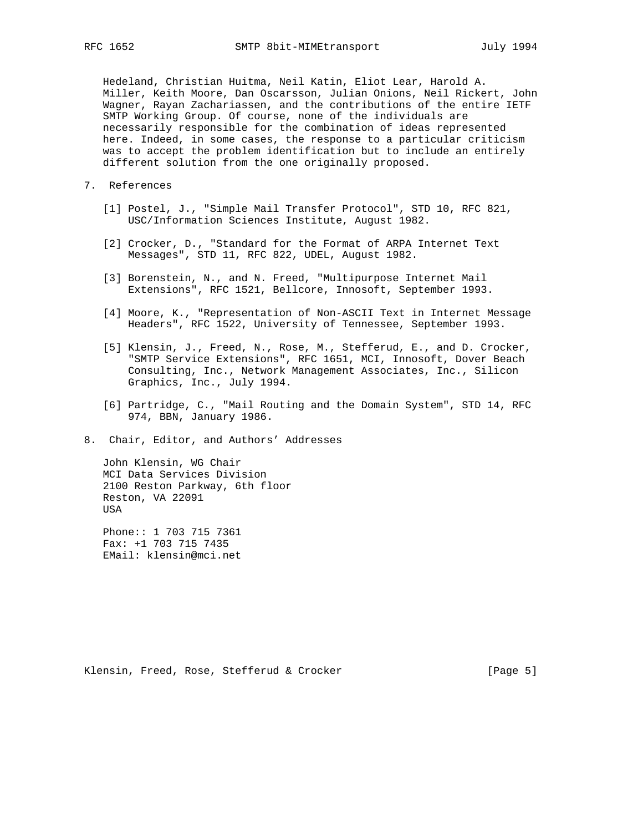Hedeland, Christian Huitma, Neil Katin, Eliot Lear, Harold A. Miller, Keith Moore, Dan Oscarsson, Julian Onions, Neil Rickert, John Wagner, Rayan Zachariassen, and the contributions of the entire IETF SMTP Working Group. Of course, none of the individuals are necessarily responsible for the combination of ideas represented here. Indeed, in some cases, the response to a particular criticism was to accept the problem identification but to include an entirely different solution from the one originally proposed.

- 7. References
	- [1] Postel, J., "Simple Mail Transfer Protocol", STD 10, RFC 821, USC/Information Sciences Institute, August 1982.
	- [2] Crocker, D., "Standard for the Format of ARPA Internet Text Messages", STD 11, RFC 822, UDEL, August 1982.
	- [3] Borenstein, N., and N. Freed, "Multipurpose Internet Mail Extensions", RFC 1521, Bellcore, Innosoft, September 1993.
	- [4] Moore, K., "Representation of Non-ASCII Text in Internet Message Headers", RFC 1522, University of Tennessee, September 1993.
	- [5] Klensin, J., Freed, N., Rose, M., Stefferud, E., and D. Crocker, "SMTP Service Extensions", RFC 1651, MCI, Innosoft, Dover Beach Consulting, Inc., Network Management Associates, Inc., Silicon Graphics, Inc., July 1994.
	- [6] Partridge, C., "Mail Routing and the Domain System", STD 14, RFC 974, BBN, January 1986.
- 8. Chair, Editor, and Authors' Addresses

 John Klensin, WG Chair MCI Data Services Division 2100 Reston Parkway, 6th floor Reston, VA 22091 USA

 Phone:: 1 703 715 7361 Fax: +1 703 715 7435 EMail: klensin@mci.net